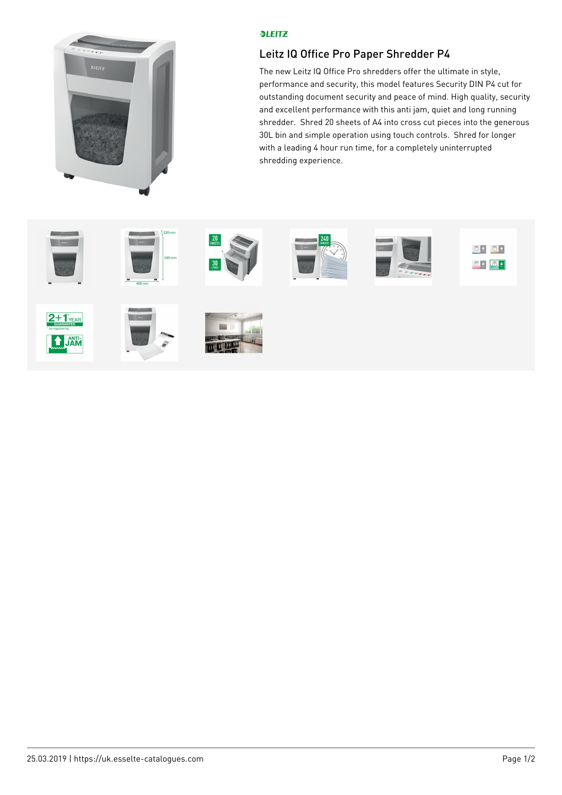

## **PLEITZ**

## Leitz IQ Office Pro Paper Shredder P4

The new Leitz IQ Office Pro shredders offer the ultimate in style, performance and security, this model features Security DIN P4 cut for outstanding document security and peace of mind. High quality, security and excellent performance with this anti jam, quiet and long running shredder. Shred 20 sheets of A4 into cross cut pieces into the generous 30L bin and simple operation using touch controls. Shred for longer with a leading 4 hour run time, for a completely uninterrupted shredding experience.